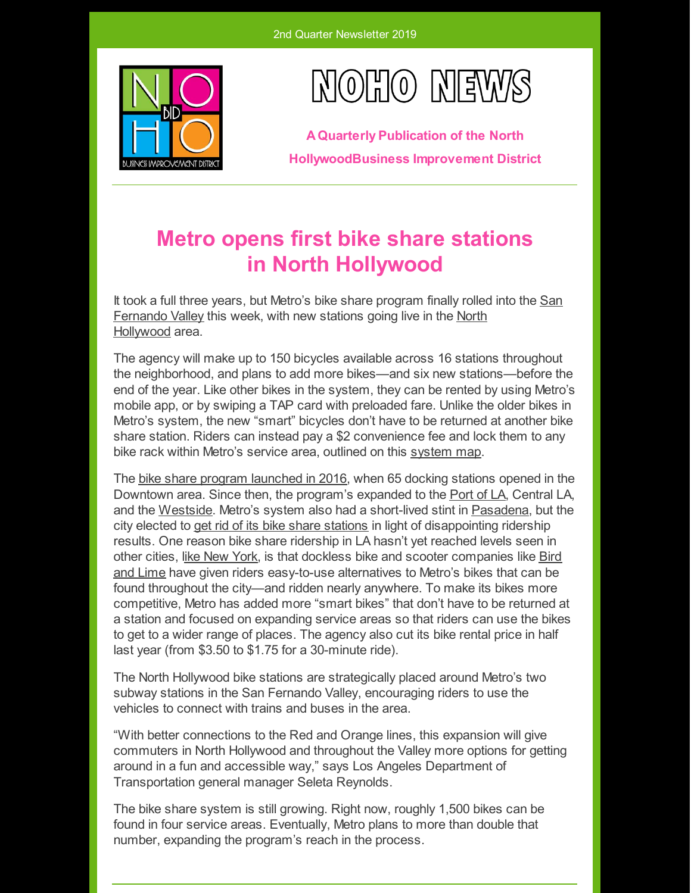



**AQuarterly Publication of the North HollywoodBusiness Improvement District**

# **Metro opens first bike share stations in North Hollywood**

It took a full three years, but Metro's bike share program finally rolled into the San [Fernando](https://la.curbed.com/neighborhood/764/san-fernando-valley) Valley this week, with new stations going live in the North [Hollywood](https://la.curbed.com/neighborhood/772/north-hollywood) area.

The agency will make up to 150 bicycles available across 16 stations throughout the neighborhood, and plans to add more bikes—and six new stations—before the end of the year. Like other bikes in the system, they can be rented by using Metro's mobile app, or by swiping a TAP card with preloaded fare. Unlike the older bikes in Metro's system, the new "smart" bicycles don't have to be returned at another bike share station. Riders can instead pay a \$2 convenience fee and lock them to any bike rack within Metro's service area, outlined on this [system](https://bikeshare.metro.net/stations/) map.

The bike share program [launched](https://la.curbed.com/2016/7/7/12118664/metro-bike-share-opening-day) in 2016, when 65 docking stations opened in the Downtown area. Since then, the program's expanded to the [Port](https://la.curbed.com/2017/7/31/16074208/metro-bike-share-port-of-la-san-pedro) of LA, Central LA, and the [Westside](https://la.curbed.com/2019/2/27/18243591/metro-los-angeles-bike-share-westside-ciclavia). Metro's system also had a short-lived stint in [Pasadena](https://la.curbed.com/2016/10/11/13250564/metro-bike-share-pasadena), but the city elected to get rid of its bike share [stations](https://la.curbed.com/2018/7/10/17549932/pasadena-metro-bike-share-end-dockless) in light of disappointing ridership results. One reason bike share ridership in LA hasn't yet reached levels seen in other cities, like New [York](https://la.curbed.com/2016/10/13/13275028/metro-bike-share-los-angeles-ridership/comment/399106093), is that dockless bike and scooter companies like Bird and Lime have given riders [easy-to-use](https://la.curbed.com/2018/7/31/17623336/bird-lime-scooter-bike-app-locations-cost-hours) alternatives to Metro's bikes that can be found throughout the city—and ridden nearly anywhere. To make its bikes more competitive, Metro has added more "smart bikes" that don't have to be returned at a station and focused on expanding service areas so that riders can use the bikes to get to a wider range of places. The agency also cut its bike rental price in half last year (from \$3.50 to \$1.75 for a 30-minute ride).

The North Hollywood bike stations are strategically placed around Metro's two subway stations in the San Fernando Valley, encouraging riders to use the vehicles to connect with trains and buses in the area.

"With better connections to the Red and Orange lines, this expansion will give commuters in North Hollywood and throughout the Valley more options for getting around in a fun and accessible way," says Los Angeles Department of Transportation general manager Seleta Reynolds.

The bike share system is still growing. Right now, roughly 1,500 bikes can be found in four service areas. Eventually, Metro plans to more than double that number, expanding the program's reach in the process.